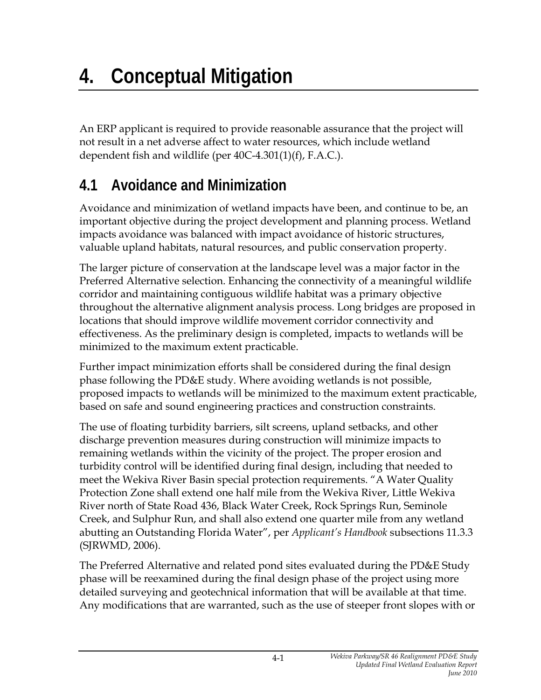An ERP applicant is required to provide reasonable assurance that the project will not result in a net adverse affect to water resources, which include wetland dependent fish and wildlife (per 40C-4.301(1)(f), F.A.C.).

## **4.1 Avoidance and Minimization**

Avoidance and minimization of wetland impacts have been, and continue to be, an important objective during the project development and planning process. Wetland impacts avoidance was balanced with impact avoidance of historic structures, valuable upland habitats, natural resources, and public conservation property.

The larger picture of conservation at the landscape level was a major factor in the Preferred Alternative selection. Enhancing the connectivity of a meaningful wildlife corridor and maintaining contiguous wildlife habitat was a primary objective throughout the alternative alignment analysis process. Long bridges are proposed in locations that should improve wildlife movement corridor connectivity and effectiveness. As the preliminary design is completed, impacts to wetlands will be minimized to the maximum extent practicable.

Further impact minimization efforts shall be considered during the final design phase following the PD&E study. Where avoiding wetlands is not possible, proposed impacts to wetlands will be minimized to the maximum extent practicable, based on safe and sound engineering practices and construction constraints.

The use of floating turbidity barriers, silt screens, upland setbacks, and other discharge prevention measures during construction will minimize impacts to remaining wetlands within the vicinity of the project. The proper erosion and turbidity control will be identified during final design, including that needed to meet the Wekiva River Basin special protection requirements. "A Water Quality Protection Zone shall extend one half mile from the Wekiva River, Little Wekiva River north of State Road 436, Black Water Creek, Rock Springs Run, Seminole Creek, and Sulphur Run, and shall also extend one quarter mile from any wetland abutting an Outstanding Florida Water", per *Applicant's Handbook* subsections 11.3.3 (SJRWMD, 2006).

The Preferred Alternative and related pond sites evaluated during the PD&E Study phase will be reexamined during the final design phase of the project using more detailed surveying and geotechnical information that will be available at that time. Any modifications that are warranted, such as the use of steeper front slopes with or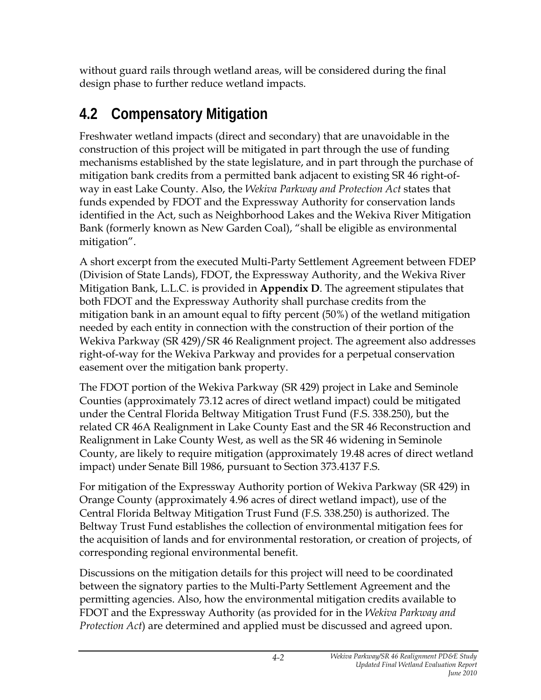without guard rails through wetland areas, will be considered during the final design phase to further reduce wetland impacts.

## **4.2 Compensatory Mitigation**

Freshwater wetland impacts (direct and secondary) that are unavoidable in the construction of this project will be mitigated in part through the use of funding mechanisms established by the state legislature, and in part through the purchase of mitigation bank credits from a permitted bank adjacent to existing SR 46 right-ofway in east Lake County. Also, the *Wekiva Parkway and Protection Act* states that funds expended by FDOT and the Expressway Authority for conservation lands identified in the Act, such as Neighborhood Lakes and the Wekiva River Mitigation Bank (formerly known as New Garden Coal), "shall be eligible as environmental mitigation".

A short excerpt from the executed Multi-Party Settlement Agreement between FDEP (Division of State Lands), FDOT, the Expressway Authority, and the Wekiva River Mitigation Bank, L.L.C. is provided in **Appendix D**. The agreement stipulates that both FDOT and the Expressway Authority shall purchase credits from the mitigation bank in an amount equal to fifty percent (50%) of the wetland mitigation needed by each entity in connection with the construction of their portion of the Wekiva Parkway (SR 429)/SR 46 Realignment project. The agreement also addresses right-of-way for the Wekiva Parkway and provides for a perpetual conservation easement over the mitigation bank property.

The FDOT portion of the Wekiva Parkway (SR 429) project in Lake and Seminole Counties (approximately 73.12 acres of direct wetland impact) could be mitigated under the Central Florida Beltway Mitigation Trust Fund (F.S. 338.250), but the related CR 46A Realignment in Lake County East and the SR 46 Reconstruction and Realignment in Lake County West, as well as the SR 46 widening in Seminole County, are likely to require mitigation (approximately 19.48 acres of direct wetland impact) under Senate Bill 1986, pursuant to Section 373.4137 F.S.

For mitigation of the Expressway Authority portion of Wekiva Parkway (SR 429) in Orange County (approximately 4.96 acres of direct wetland impact), use of the Central Florida Beltway Mitigation Trust Fund (F.S. 338.250) is authorized. The Beltway Trust Fund establishes the collection of environmental mitigation fees for the acquisition of lands and for environmental restoration, or creation of projects, of corresponding regional environmental benefit.

Discussions on the mitigation details for this project will need to be coordinated between the signatory parties to the Multi-Party Settlement Agreement and the permitting agencies. Also, how the environmental mitigation credits available to FDOT and the Expressway Authority (as provided for in the *Wekiva Parkway and Protection Act*) are determined and applied must be discussed and agreed upon.